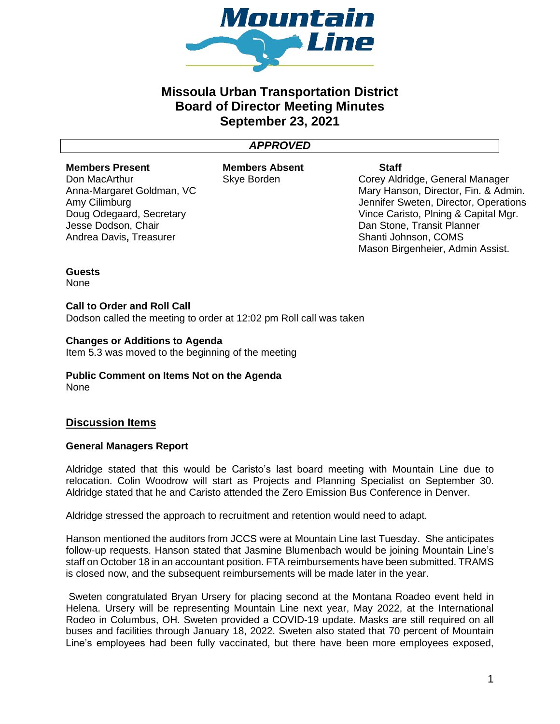

# **Missoula Urban Transportation District Board of Director Meeting Minutes September 23, 2021**

## *APPROVED*

#### **Members Present**

Don MacArthur Anna-Margaret Goldman, VC Amy Cilimburg Doug Odegaard, Secretary Jesse Dodson, Chair Andrea Davis**,** Treasurer

**Members Absent** Skye Borden

**Staff**

Corey Aldridge, General Manager Mary Hanson, Director, Fin. & Admin. Jennifer Sweten, Director, Operations Vince Caristo, Plning & Capital Mgr. Dan Stone, Transit Planner Shanti Johnson, COMS Mason Birgenheier, Admin Assist.

**Guests** None

## **Call to Order and Roll Call**

Dodson called the meeting to order at 12:02 pm Roll call was taken

## **Changes or Additions to Agenda**

Item 5.3 was moved to the beginning of the meeting

#### **Public Comment on Items Not on the Agenda** None

## **Discussion Items**

## **General Managers Report**

Aldridge stated that this would be Caristo's last board meeting with Mountain Line due to relocation. Colin Woodrow will start as Projects and Planning Specialist on September 30. Aldridge stated that he and Caristo attended the Zero Emission Bus Conference in Denver.

Aldridge stressed the approach to recruitment and retention would need to adapt.

Hanson mentioned the auditors from JCCS were at Mountain Line last Tuesday. She anticipates follow-up requests. Hanson stated that Jasmine Blumenbach would be joining Mountain Line's staff on October 18 in an accountant position. FTA reimbursements have been submitted. TRAMS is closed now, and the subsequent reimbursements will be made later in the year.

Sweten congratulated Bryan Ursery for placing second at the Montana Roadeo event held in Helena. Ursery will be representing Mountain Line next year, May 2022, at the International Rodeo in Columbus, OH. Sweten provided a COVID-19 update. Masks are still required on all buses and facilities through January 18, 2022. Sweten also stated that 70 percent of Mountain Line's employees had been fully vaccinated, but there have been more employees exposed,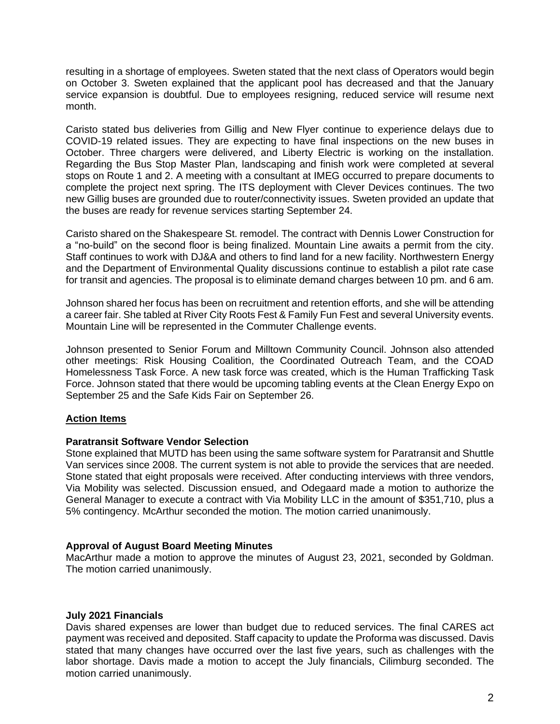resulting in a shortage of employees. Sweten stated that the next class of Operators would begin on October 3. Sweten explained that the applicant pool has decreased and that the January service expansion is doubtful. Due to employees resigning, reduced service will resume next month.

Caristo stated bus deliveries from Gillig and New Flyer continue to experience delays due to COVID-19 related issues. They are expecting to have final inspections on the new buses in October. Three chargers were delivered, and Liberty Electric is working on the installation. Regarding the Bus Stop Master Plan, landscaping and finish work were completed at several stops on Route 1 and 2. A meeting with a consultant at IMEG occurred to prepare documents to complete the project next spring. The ITS deployment with Clever Devices continues. The two new Gillig buses are grounded due to router/connectivity issues. Sweten provided an update that the buses are ready for revenue services starting September 24.

Caristo shared on the Shakespeare St. remodel. The contract with Dennis Lower Construction for a "no-build" on the second floor is being finalized. Mountain Line awaits a permit from the city. Staff continues to work with DJ&A and others to find land for a new facility. Northwestern Energy and the Department of Environmental Quality discussions continue to establish a pilot rate case for transit and agencies. The proposal is to eliminate demand charges between 10 pm. and 6 am.

Johnson shared her focus has been on recruitment and retention efforts, and she will be attending a career fair. She tabled at River City Roots Fest & Family Fun Fest and several University events. Mountain Line will be represented in the Commuter Challenge events.

Johnson presented to Senior Forum and Milltown Community Council. Johnson also attended other meetings: Risk Housing Coalition, the Coordinated Outreach Team, and the COAD Homelessness Task Force. A new task force was created, which is the Human Trafficking Task Force. Johnson stated that there would be upcoming tabling events at the Clean Energy Expo on September 25 and the Safe Kids Fair on September 26.

## **Action Items**

## **Paratransit Software Vendor Selection**

Stone explained that MUTD has been using the same software system for Paratransit and Shuttle Van services since 2008. The current system is not able to provide the services that are needed. Stone stated that eight proposals were received. After conducting interviews with three vendors, Via Mobility was selected. Discussion ensued, and Odegaard made a motion to authorize the General Manager to execute a contract with Via Mobility LLC in the amount of \$351,710, plus a 5% contingency. McArthur seconded the motion. The motion carried unanimously.

## **Approval of August Board Meeting Minutes**

MacArthur made a motion to approve the minutes of August 23, 2021, seconded by Goldman. The motion carried unanimously.

## **July 2021 Financials**

Davis shared expenses are lower than budget due to reduced services. The final CARES act payment was received and deposited. Staff capacity to update the Proforma was discussed. Davis stated that many changes have occurred over the last five years, such as challenges with the labor shortage. Davis made a motion to accept the July financials, Cilimburg seconded. The motion carried unanimously.